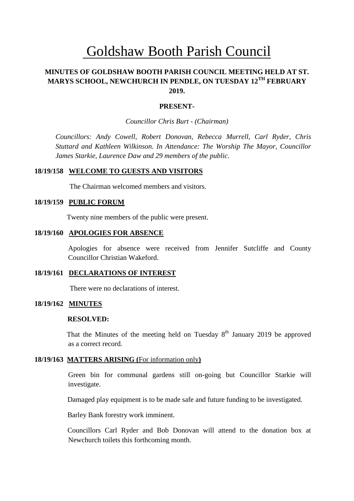# Goldshaw Booth Parish Council

# **MINUTES OF GOLDSHAW BOOTH PARISH COUNCIL MEETING HELD AT ST. MARYS SCHOOL, NEWCHURCH IN PENDLE, ON TUESDAY 12TH FEBRUARY 2019.**

#### **PRESENT-**

*Councillor Chris Burt - (Chairman)*

*Councillors: Andy Cowell, Robert Donovan, Rebecca Murrell, Carl Ryder, Chris Stuttard and Kathleen Wilkinson. In Attendance: The Worship The Mayor, Councillor James Starkie, Laurence Daw and 29 members of the public.*

### **18/19/158 WELCOME TO GUESTS AND VISITORS**

The Chairman welcomed members and visitors.

#### **18/19/159 PUBLIC FORUM**

Twenty nine members of the public were present.

## **18/19/160 APOLOGIES FOR ABSENCE**

Apologies for absence were received from Jennifer Sutcliffe and County Councillor Christian Wakeford.

### **18/19/161 DECLARATIONS OF INTEREST**

There were no declarations of interest.

#### **18/19/162 MINUTES**

#### **RESOLVED:**

That the Minutes of the meeting held on Tuesday  $8<sup>th</sup>$  January 2019 be approved as a correct record.

#### **18/19/163 MATTERS ARISING (**For information only**)**

Green bin for communal gardens still on-going but Councillor Starkie will investigate.

Damaged play equipment is to be made safe and future funding to be investigated.

Barley Bank forestry work imminent.

 Councillors Carl Ryder and Bob Donovan will attend to the donation box at Newchurch toilets this forthcoming month.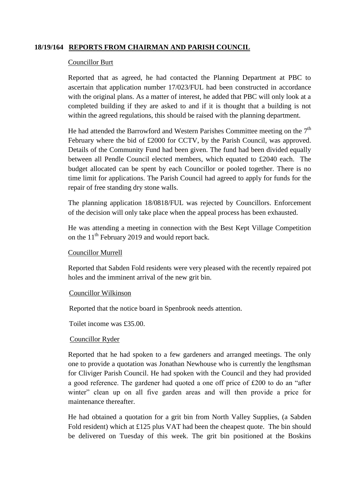## **18/19/164 REPORTS FROM CHAIRMAN AND PARISH COUNCIL**

## Councillor Burt

Reported that as agreed, he had contacted the Planning Department at PBC to ascertain that application number 17/023/FUL had been constructed in accordance with the original plans. As a matter of interest, he added that PBC will only look at a completed building if they are asked to and if it is thought that a building is not within the agreed regulations, this should be raised with the planning department.

He had attended the Barrowford and Western Parishes Committee meeting on the  $7<sup>th</sup>$ February where the bid of £2000 for CCTV, by the Parish Council, was approved. Details of the Community Fund had been given. The fund had been divided equally between all Pendle Council elected members, which equated to £2040 each. The budget allocated can be spent by each Councillor or pooled together. There is no time limit for applications. The Parish Council had agreed to apply for funds for the repair of free standing dry stone walls.

The planning application 18/0818/FUL was rejected by Councillors. Enforcement of the decision will only take place when the appeal process has been exhausted.

He was attending a meeting in connection with the Best Kept Village Competition on the  $11<sup>th</sup>$  February 2019 and would report back.

## Councillor Murrell

Reported that Sabden Fold residents were very pleased with the recently repaired pot holes and the imminent arrival of the new grit bin.

## Councillor Wilkinson

Reported that the notice board in Spenbrook needs attention.

Toilet income was £35.00.

## Councillor Ryder

Reported that he had spoken to a few gardeners and arranged meetings. The only one to provide a quotation was Jonathan Newhouse who is currently the lengthsman for Cliviger Parish Council. He had spoken with the Council and they had provided a good reference. The gardener had quoted a one off price of £200 to do an "after winter" clean up on all five garden areas and will then provide a price for maintenance thereafter.

He had obtained a quotation for a grit bin from North Valley Supplies, (a Sabden Fold resident) which at £125 plus VAT had been the cheapest quote. The bin should be delivered on Tuesday of this week. The grit bin positioned at the Boskins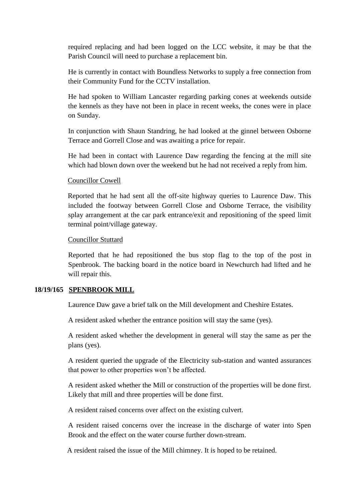required replacing and had been logged on the LCC website, it may be that the Parish Council will need to purchase a replacement bin.

He is currently in contact with Boundless Networks to supply a free connection from their Community Fund for the CCTV installation.

He had spoken to William Lancaster regarding parking cones at weekends outside the kennels as they have not been in place in recent weeks, the cones were in place on Sunday.

In conjunction with Shaun Standring, he had looked at the ginnel between Osborne Terrace and Gorrell Close and was awaiting a price for repair.

He had been in contact with Laurence Daw regarding the fencing at the mill site which had blown down over the weekend but he had not received a reply from him.

## Councillor Cowell

Reported that he had sent all the off-site highway queries to Laurence Daw. This included the footway between Gorrell Close and Osborne Terrace, the visibility splay arrangement at the car park entrance/exit and repositioning of the speed limit terminal point/village gateway.

#### Councillor Stuttard

Reported that he had repositioned the bus stop flag to the top of the post in Spenbrook. The backing board in the notice board in Newchurch had lifted and he will repair this.

## **18/19/165 SPENBROOK MILL**

Laurence Daw gave a brief talk on the Mill development and Cheshire Estates.

A resident asked whether the entrance position will stay the same (yes).

A resident asked whether the development in general will stay the same as per the plans (yes).

A resident queried the upgrade of the Electricity sub-station and wanted assurances that power to other properties won't be affected.

A resident asked whether the Mill or construction of the properties will be done first. Likely that mill and three properties will be done first.

A resident raised concerns over affect on the existing culvert.

A resident raised concerns over the increase in the discharge of water into Spen Brook and the effect on the water course further down-stream.

A resident raised the issue of the Mill chimney. It is hoped to be retained.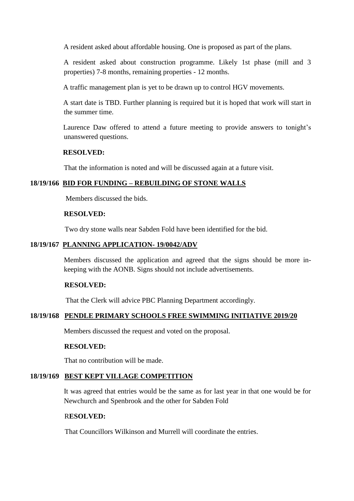A resident asked about affordable housing. One is proposed as part of the plans.

A resident asked about construction programme. Likely 1st phase (mill and 3 properties) 7-8 months, remaining properties - 12 months.

A traffic management plan is yet to be drawn up to control HGV movements.

A start date is TBD. Further planning is required but it is hoped that work will start in the summer time.

Laurence Daw offered to attend a future meeting to provide answers to tonight's unanswered questions.

## **RESOLVED:**

That the information is noted and will be discussed again at a future visit.

## **18/19/166 BID FOR FUNDING – REBUILDING OF STONE WALLS**

Members discussed the bids.

## **RESOLVED:**

Two dry stone walls near Sabden Fold have been identified for the bid.

## **18/19/167 PLANNING APPLICATION- 19/0042/ADV**

Members discussed the application and agreed that the signs should be more inkeeping with the AONB. Signs should not include advertisements.

## **RESOLVED:**

That the Clerk will advice PBC Planning Department accordingly.

## **18/19/168 PENDLE PRIMARY SCHOOLS FREE SWIMMING INITIATIVE 2019/20**

Members discussed the request and voted on the proposal.

## **RESOLVED:**

That no contribution will be made.

# **18/19/169 BEST KEPT VILLAGE COMPETITION**

It was agreed that entries would be the same as for last year in that one would be for Newchurch and Spenbrook and the other for Sabden Fold

# R**ESOLVED:**

That Councillors Wilkinson and Murrell will coordinate the entries.